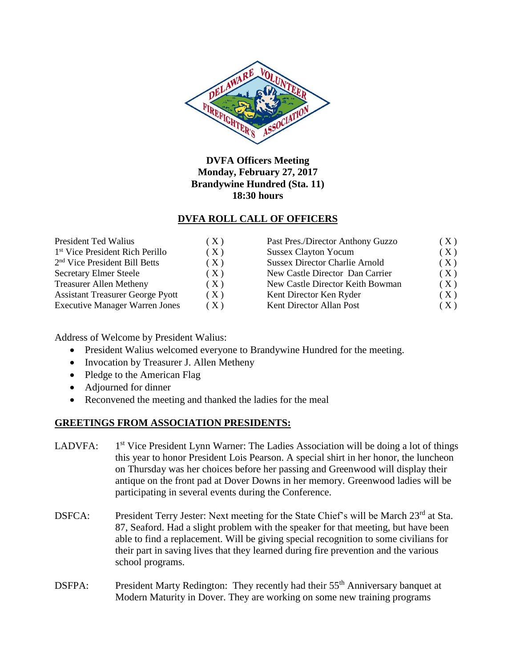

# **DVFA Officers Meeting Monday, February 27, 2017 Brandywine Hundred (Sta. 11) 18:30 hours**

# **DVFA ROLL CALL OF OFFICERS**

| President Ted Walius                        | (X)   | Past Pres./Director Anthony Guzzo     | (X) |
|---------------------------------------------|-------|---------------------------------------|-----|
| 1 <sup>st</sup> Vice President Rich Perillo | (X)   | <b>Sussex Clayton Yocum</b>           | (X) |
| $2nd$ Vice President Bill Betts             | (X)   | <b>Sussex Director Charlie Arnold</b> | (X) |
| <b>Secretary Elmer Steele</b>               | ( X ) | New Castle Director Dan Carrier       | (X) |
| <b>Treasurer Allen Metheny</b>              | (X)   | New Castle Director Keith Bowman      | (X) |
| <b>Assistant Treasurer George Pyott</b>     | ( X ) | Kent Director Ken Ryder               | (X) |
| <b>Executive Manager Warren Jones</b>       | ( X ) | Kent Director Allan Post              | (X) |

Address of Welcome by President Walius:

- President Walius welcomed everyone to Brandywine Hundred for the meeting.
- Invocation by Treasurer J. Allen Metheny
- Pledge to the American Flag
- Adjourned for dinner
- Reconvened the meeting and thanked the ladies for the meal

# **GREETINGS FROM ASSOCIATION PRESIDENTS:**

- LADVFA:  $1<sup>st</sup>$  Vice President Lynn Warner: The Ladies Association will be doing a lot of things this year to honor President Lois Pearson. A special shirt in her honor, the luncheon on Thursday was her choices before her passing and Greenwood will display their antique on the front pad at Dover Downs in her memory. Greenwood ladies will be participating in several events during the Conference.
- DSFCA: President Terry Jester: Next meeting for the State Chief's will be March 23<sup>rd</sup> at Sta. 87, Seaford. Had a slight problem with the speaker for that meeting, but have been able to find a replacement. Will be giving special recognition to some civilians for their part in saving lives that they learned during fire prevention and the various school programs.
- DSFPA: President Marty Redington: They recently had their 55<sup>th</sup> Anniversary banquet at Modern Maturity in Dover. They are working on some new training programs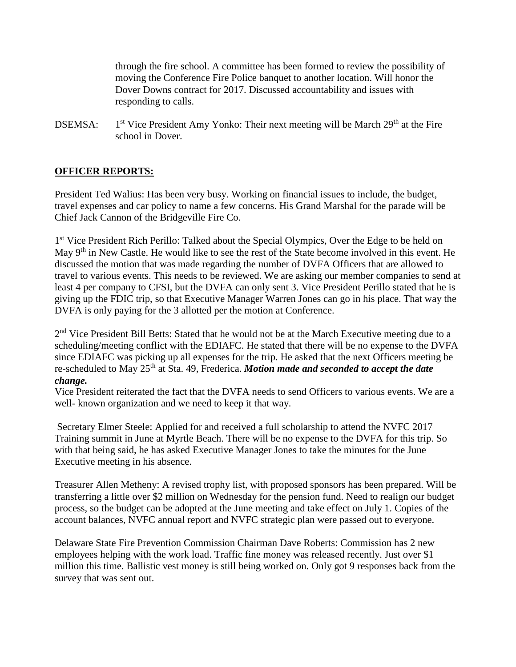through the fire school. A committee has been formed to review the possibility of moving the Conference Fire Police banquet to another location. Will honor the Dover Downs contract for 2017. Discussed accountability and issues with responding to calls.

DSEMSA: 1  $1<sup>st</sup>$  Vice President Amy Yonko: Their next meeting will be March 29<sup>th</sup> at the Fire school in Dover.

# **OFFICER REPORTS:**

President Ted Walius: Has been very busy. Working on financial issues to include, the budget, travel expenses and car policy to name a few concerns. His Grand Marshal for the parade will be Chief Jack Cannon of the Bridgeville Fire Co.

1<sup>st</sup> Vice President Rich Perillo: Talked about the Special Olympics, Over the Edge to be held on May 9<sup>th</sup> in New Castle. He would like to see the rest of the State become involved in this event. He discussed the motion that was made regarding the number of DVFA Officers that are allowed to travel to various events. This needs to be reviewed. We are asking our member companies to send at least 4 per company to CFSI, but the DVFA can only sent 3. Vice President Perillo stated that he is giving up the FDIC trip, so that Executive Manager Warren Jones can go in his place. That way the DVFA is only paying for the 3 allotted per the motion at Conference.

2<sup>nd</sup> Vice President Bill Betts: Stated that he would not be at the March Executive meeting due to a scheduling/meeting conflict with the EDIAFC. He stated that there will be no expense to the DVFA since EDIAFC was picking up all expenses for the trip. He asked that the next Officers meeting be re-scheduled to May 25th at Sta. 49, Frederica. *Motion made and seconded to accept the date change.*

Vice President reiterated the fact that the DVFA needs to send Officers to various events. We are a well- known organization and we need to keep it that way.

Secretary Elmer Steele: Applied for and received a full scholarship to attend the NVFC 2017 Training summit in June at Myrtle Beach. There will be no expense to the DVFA for this trip. So with that being said, he has asked Executive Manager Jones to take the minutes for the June Executive meeting in his absence.

Treasurer Allen Metheny: A revised trophy list, with proposed sponsors has been prepared. Will be transferring a little over \$2 million on Wednesday for the pension fund. Need to realign our budget process, so the budget can be adopted at the June meeting and take effect on July 1. Copies of the account balances, NVFC annual report and NVFC strategic plan were passed out to everyone.

Delaware State Fire Prevention Commission Chairman Dave Roberts: Commission has 2 new employees helping with the work load. Traffic fine money was released recently. Just over \$1 million this time. Ballistic vest money is still being worked on. Only got 9 responses back from the survey that was sent out.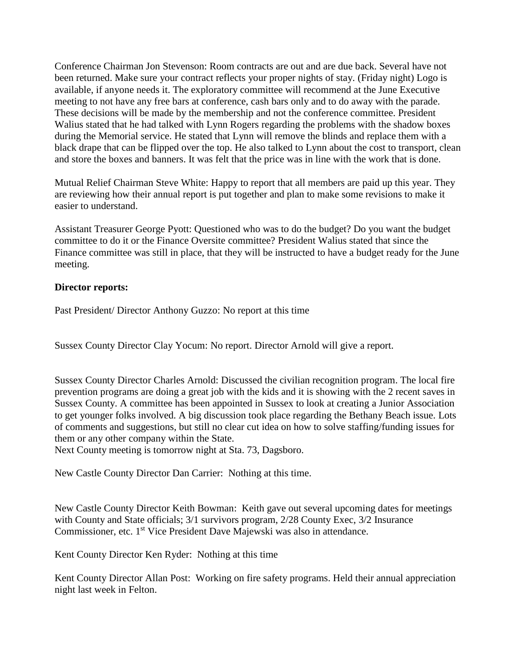Conference Chairman Jon Stevenson: Room contracts are out and are due back. Several have not been returned. Make sure your contract reflects your proper nights of stay. (Friday night) Logo is available, if anyone needs it. The exploratory committee will recommend at the June Executive meeting to not have any free bars at conference, cash bars only and to do away with the parade. These decisions will be made by the membership and not the conference committee. President Walius stated that he had talked with Lynn Rogers regarding the problems with the shadow boxes during the Memorial service. He stated that Lynn will remove the blinds and replace them with a black drape that can be flipped over the top. He also talked to Lynn about the cost to transport, clean and store the boxes and banners. It was felt that the price was in line with the work that is done.

Mutual Relief Chairman Steve White: Happy to report that all members are paid up this year. They are reviewing how their annual report is put together and plan to make some revisions to make it easier to understand.

Assistant Treasurer George Pyott: Questioned who was to do the budget? Do you want the budget committee to do it or the Finance Oversite committee? President Walius stated that since the Finance committee was still in place, that they will be instructed to have a budget ready for the June meeting.

# **Director reports:**

Past President/ Director Anthony Guzzo: No report at this time

Sussex County Director Clay Yocum: No report. Director Arnold will give a report.

Sussex County Director Charles Arnold: Discussed the civilian recognition program. The local fire prevention programs are doing a great job with the kids and it is showing with the 2 recent saves in Sussex County. A committee has been appointed in Sussex to look at creating a Junior Association to get younger folks involved. A big discussion took place regarding the Bethany Beach issue. Lots of comments and suggestions, but still no clear cut idea on how to solve staffing/funding issues for them or any other company within the State.

Next County meeting is tomorrow night at Sta. 73, Dagsboro.

New Castle County Director Dan Carrier: Nothing at this time.

New Castle County Director Keith Bowman: Keith gave out several upcoming dates for meetings with County and State officials; 3/1 survivors program, 2/28 County Exec, 3/2 Insurance Commissioner, etc. 1<sup>st</sup> Vice President Dave Majewski was also in attendance.

Kent County Director Ken Ryder: Nothing at this time

Kent County Director Allan Post: Working on fire safety programs. Held their annual appreciation night last week in Felton.